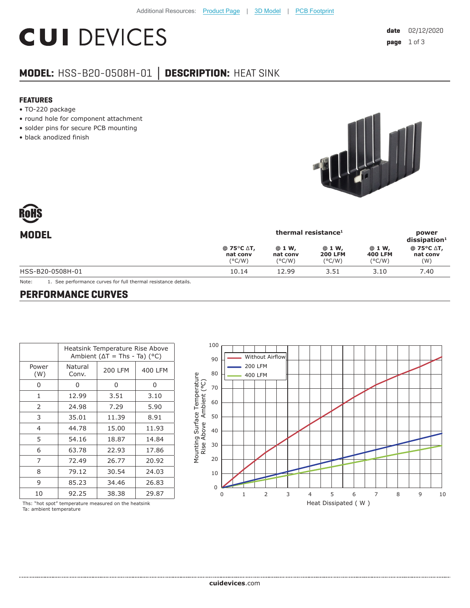# **CUI DEVICES**

## **MODEL:** HSS-B20-0508H-01 **│ DESCRIPTION:** HEAT SINK

#### **FEATURES**

- TO-220 package
- round hole for component attachment
- solder pins for secure PCB mounting
- black anodized finish



| <b>MODEL</b>     | thermal resistance <sup>1</sup>                  |                                       |                                              |                                              | power<br>dissigmoid <sup>1</sup> |
|------------------|--------------------------------------------------|---------------------------------------|----------------------------------------------|----------------------------------------------|----------------------------------|
|                  | $@75°C \Delta T,$<br>nat conv<br>$(^{\circ}C/W)$ | @ 1 W,<br>nat conv<br>$(^{\circ}C/W)$ | @ 1 W,<br><b>200 LFM</b><br>$(^{\circ}$ C/W) | @ 1 W,<br><b>400 LFM</b><br>$(^{\circ}$ C/W) | @ 75°C ∆T,<br>nat conv<br>(W)    |
| HSS-B20-0508H-01 | 10.14                                            | 12.99                                 | 3.51                                         | 3.10                                         | 7.40                             |

Note: 1. See performance curves for full thermal resistance details.

#### **PERFORMANCE CURVES**

|              | Heatsink Temperature Rise Above<br>Ambient ( $\Delta T$ = Ths - Ta) (°C) |                |         |  |  |
|--------------|--------------------------------------------------------------------------|----------------|---------|--|--|
| Power<br>(W) | Natural<br>Conv.                                                         | <b>200 LFM</b> | 400 LFM |  |  |
| O            | U                                                                        | 0              | 0       |  |  |
| 1            | 12.99                                                                    | 3.51           | 3.10    |  |  |
| 2            | 24.98                                                                    | 7.29           | 5.90    |  |  |
| 3            | 35.01                                                                    | 11.39          | 8.91    |  |  |
| 4            | 44.78                                                                    | 15.00          | 11.93   |  |  |
| 5            | 54.16                                                                    | 18.87          | 14.84   |  |  |
| 6            | 63.78                                                                    | 22.93          | 17.86   |  |  |
| 7            | 72.49                                                                    | 26.77          | 20.92   |  |  |
| 8            | 79.12                                                                    | 30.54          | 24.03   |  |  |
| 9            | 85.23                                                                    | 34.46          | 26.83   |  |  |
| 10           | 92.25                                                                    | 38.38          | 29.87   |  |  |



Ths: "hot spot" temperature measured on the heatsink Ta: ambient temperature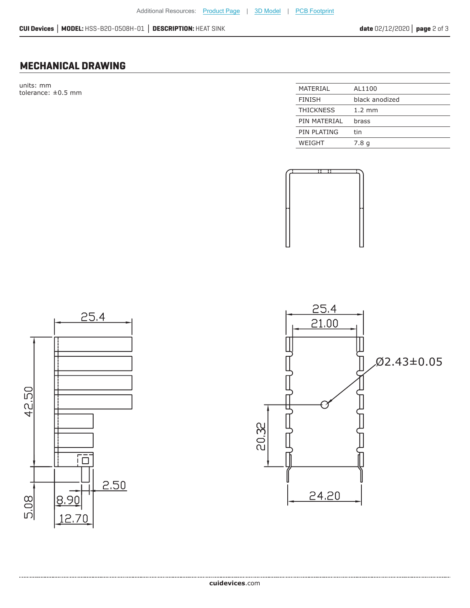### **MECHANICAL DRAWING**

units: mm tolerance:  $\pm 0.5$  mm

| MATERIAL         | AL1100           |
|------------------|------------------|
| <b>FINISH</b>    | black anodized   |
| <b>THICKNESS</b> | $1.2 \text{ mm}$ |
| PIN MATFRIAI     | brass            |
| PIN PLATING      | tin              |
| WEIGHT           | 7.8 g            |